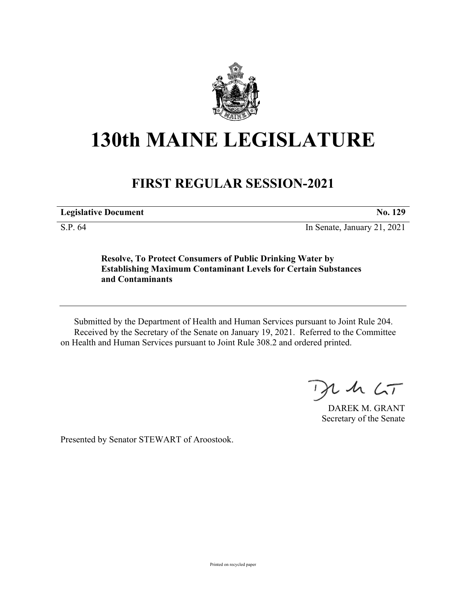

## **130th MAINE LEGISLATURE**

## **FIRST REGULAR SESSION-2021**

**Legislative Document No. 129**

S.P. 64 In Senate, January 21, 2021

**Resolve, To Protect Consumers of Public Drinking Water by Establishing Maximum Contaminant Levels for Certain Substances and Contaminants**

Submitted by the Department of Health and Human Services pursuant to Joint Rule 204. Received by the Secretary of the Senate on January 19, 2021. Referred to the Committee on Health and Human Services pursuant to Joint Rule 308.2 and ordered printed.

 $2.42 < T$ 

DAREK M. GRANT Secretary of the Senate

Presented by Senator STEWART of Aroostook.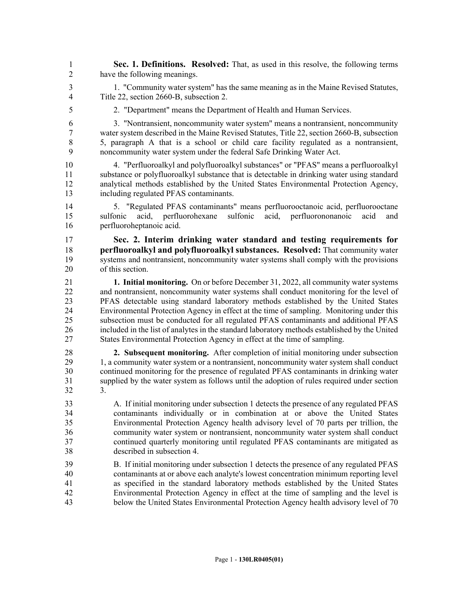1 **Sec. 1. Definitions. Resolved:** That, as used in this resolve, the following terms 2 have the following meanings.

3 1. "Community water system" has the same meaning as in the Maine Revised Statutes, 4 Title 22, section 2660-B, subsection 2.

5 2. "Department" means the Department of Health and Human Services.

6 3. "Nontransient, noncommunity water system" means a nontransient, noncommunity 7 water system described in the Maine Revised Statutes, Title 22, section 2660-B, subsection 8 5, paragraph A that is a school or child care facility regulated as a nontransient, 9 noncommunity water system under the federal Safe Drinking Water Act.

10 4. "Perfluoroalkyl and polyfluoroalkyl substances" or "PFAS" means a perfluoroalkyl 11 substance or polyfluoroalkyl substance that is detectable in drinking water using standard 12 analytical methods established by the United States Environmental Protection Agency, 13 including regulated PFAS contaminants.

14 5. "Regulated PFAS contaminants" means perfluorooctanoic acid, perfluorooctane 15 sulfonic acid, perfluorohexane sulfonic acid, perfluorononanoic acid and 16 perfluoroheptanoic acid.

17 **Sec. 2. Interim drinking water standard and testing requirements for**  18 **perfluoroalkyl and polyfluoroalkyl substances. Resolved:** That community water 19 systems and nontransient, noncommunity water systems shall comply with the provisions 20 of this section.

21 **1. Initial monitoring.** On or before December 31, 2022, all community water systems 22 and nontransient, noncommunity water systems shall conduct monitoring for the level of 23 PFAS detectable using standard laboratory methods established by the United States 24 Environmental Protection Agency in effect at the time of sampling. Monitoring under this 25 subsection must be conducted for all regulated PFAS contaminants and additional PFAS 26 included in the list of analytes in the standard laboratory methods established by the United 27 States Environmental Protection Agency in effect at the time of sampling.

28 **2. Subsequent monitoring.** After completion of initial monitoring under subsection 29 1, a community water system or a nontransient, noncommunity water system shall conduct 30 continued monitoring for the presence of regulated PFAS contaminants in drinking water 31 supplied by the water system as follows until the adoption of rules required under section 32 3.

33 A. If initial monitoring under subsection 1 detects the presence of any regulated PFAS 34 contaminants individually or in combination at or above the United States 35 Environmental Protection Agency health advisory level of 70 parts per trillion, the 36 community water system or nontransient, noncommunity water system shall conduct 37 continued quarterly monitoring until regulated PFAS contaminants are mitigated as 38 described in subsection 4.

39 B. If initial monitoring under subsection 1 detects the presence of any regulated PFAS 40 contaminants at or above each analyte's lowest concentration minimum reporting level 41 as specified in the standard laboratory methods established by the United States 42 Environmental Protection Agency in effect at the time of sampling and the level is 43 below the United States Environmental Protection Agency health advisory level of 70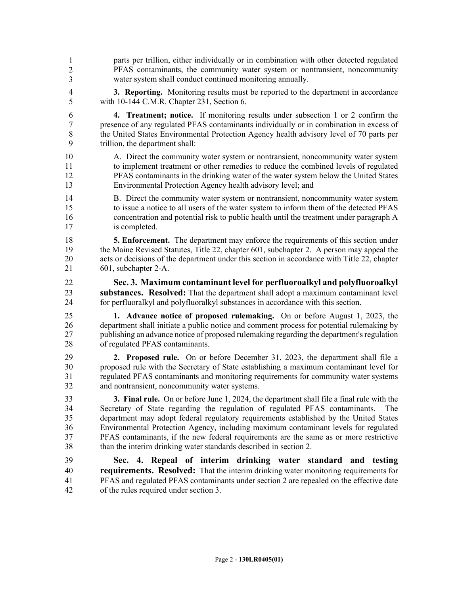- 44 parts per trillion, either individually or in combination with other detected regulated 45 PFAS contaminants, the community water system or nontransient, noncommunity water system shall conduct continued monitoring annually. 1 2 3
- 4 **3. Reporting.** Monitoring results must be reported to the department in accordance 5 with 10-144 C.M.R. Chapter 231, Section 6.
- 6 **4. Treatment; notice.** If monitoring results under subsection 1 or 2 confirm the 7 presence of any regulated PFAS contaminants individually or in combination in excess of 8 the United States Environmental Protection Agency health advisory level of 70 parts per 9 trillion, the department shall:
- 10 A. Direct the community water system or nontransient, noncommunity water system 11 to implement treatment or other remedies to reduce the combined levels of regulated 12 PFAS contaminants in the drinking water of the water system below the United States 13 Environmental Protection Agency health advisory level; and
- 14 B. Direct the community water system or nontransient, noncommunity water system 15 to issue a notice to all users of the water system to inform them of the detected PFAS 16 concentration and potential risk to public health until the treatment under paragraph A 17 is completed.
- 18 **5. Enforcement.** The department may enforce the requirements of this section under 19 the Maine Revised Statutes, Title 22, chapter 601, subchapter 2. A person may appeal the 20 acts or decisions of the department under this section in accordance with Title 22, chapter 21 601, subchapter 2-A.
- 22 **Sec. 3. Maximum contaminant level for perfluoroalkyl and polyfluoroalkyl**  23 **substances. Resolved:** That the department shall adopt a maximum contaminant level 24 for perfluoralkyl and polyfluoralkyl substances in accordance with this section.
- 25 **1. Advance notice of proposed rulemaking.** On or before August 1, 2023, the 26 department shall initiate a public notice and comment process for potential rulemaking by 27 publishing an advance notice of proposed rulemaking regarding the department's regulation 28 of regulated PFAS contaminants.
- 29 **2. Proposed rule.** On or before December 31, 2023, the department shall file a 30 proposed rule with the Secretary of State establishing a maximum contaminant level for 31 regulated PFAS contaminants and monitoring requirements for community water systems 32 and nontransient, noncommunity water systems.
- 33 **3. Final rule.** On or before June 1, 2024, the department shall file a final rule with the 34 Secretary of State regarding the regulation of regulated PFAS contaminants. The 35 department may adopt federal regulatory requirements established by the United States 36 Environmental Protection Agency, including maximum contaminant levels for regulated 37 PFAS contaminants, if the new federal requirements are the same as or more restrictive 38 than the interim drinking water standards described in section 2.
- 39 **Sec. 4. Repeal of interim drinking water standard and testing**  40 **requirements. Resolved:** That the interim drinking water monitoring requirements for 41 PFAS and regulated PFAS contaminants under section 2 are repealed on the effective date 42 of the rules required under section 3.